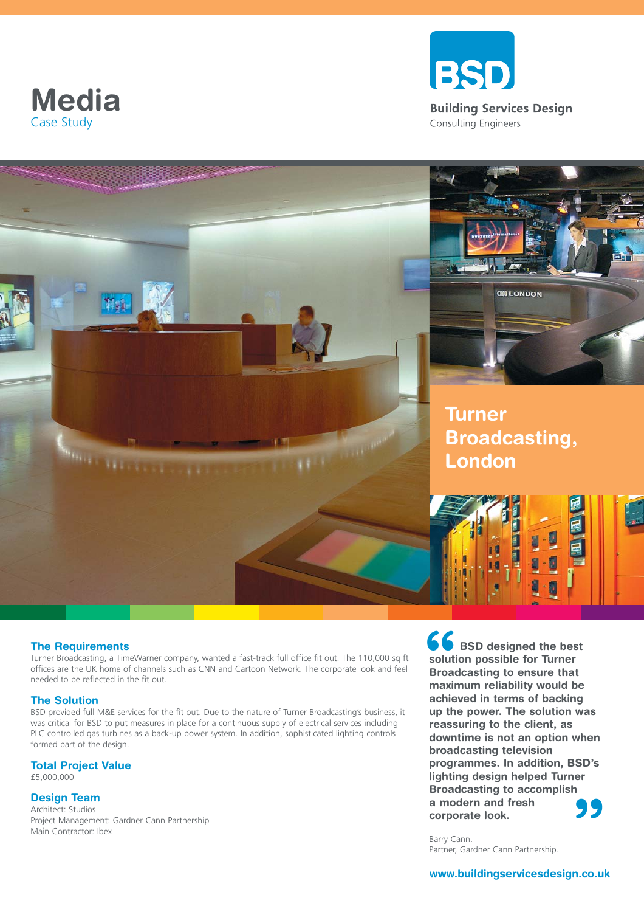





#### **The Requirements**

Turner Broadcasting, a TimeWarner company, wanted a fast-track full office fit out. The 110,000 sq ft offices are the UK home of channels such as CNN and Cartoon Network. The corporate look and feel needed to be reflected in the fit out.

#### **The Solution**

BSD provided full M&E services for the fit out. Due to the nature of Turner Broadcasting's business, it was critical for BSD to put measures in place for a continuous supply of electrical services including PLC controlled gas turbines as a back-up power system. In addition, sophisticated lighting controls formed part of the design.

## **Total Project Value**

£5,000,000

### **Design Team**

Architect: Studios Project Management: Gardner Cann Partnership Main Contractor: Ibex

**66**<br>soluti<br>Broad<br>maxir **" BSD designed the best solution possible for Turner Broadcasting to ensure that maximum reliability would be achieved in terms of backing up the power. The solution was reassuring to the client, as downtime is not an option when broadcasting television programmes. In addition, BSD's lighting design helped Turner Broadcasting to accomplish a modern and fresh corporate look.**

Barry Cann. Partner, Gardner Cann Partnership.

### **www.buildingservicesdesign.co.uk**